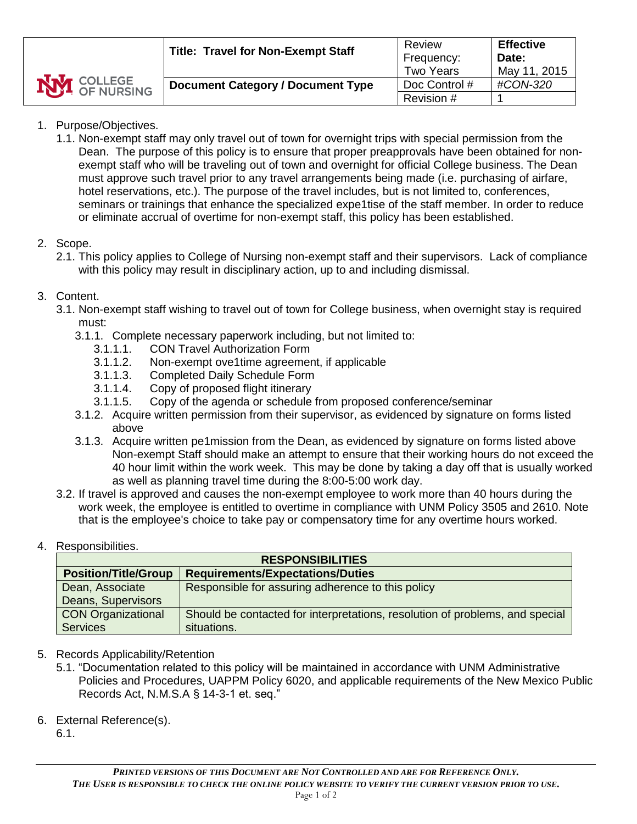- 1. Purpose/Objectives.
	- 1.1. Non-exempt staff may only travel out of town for overnight trips with special permission from the Dean. The purpose of this policy is to ensure that proper preapprovals have been obtained for nonexempt staff who will be traveling out of town and overnight for official College business. The Dean must approve such travel prior to any travel arrangements being made (i.e. purchasing of airfare, hotel reservations, etc.). The purpose of the travel includes, but is not limited to, conferences, seminars or trainings that enhance the specialized expe1tise of the staff member. In order to reduce or eliminate accrual of overtime for non-exempt staff, this policy has been established.

# 2. Scope.

2.1. This policy applies to College of Nursing non-exempt staff and their supervisors. Lack of compliance with this policy may result in disciplinary action, up to and including dismissal.

# 3. Content.

- 3.1. Non-exempt staff wishing to travel out of town for College business, when overnight stay is required must:
	- 3.1.1. Complete necessary paperwork including, but not limited to:
		- 3.1.1.1. CON Travel Authorization Form
		- 3.1.1.2. Non-exempt ove1time agreement, if applicable
		- 3.1.1.3. Completed Daily Schedule Form
		- 3.1.1.4. Copy of proposed flight itinerary
		- 3.1.1.5. Copy of the agenda or schedule from proposed conference/seminar
	- 3.1.2. Acquire written permission from their supervisor, as evidenced by signature on forms listed above
	- 3.1.3. Acquire written pe1mission from the Dean, as evidenced by signature on forms listed above Non-exempt Staff should make an attempt to ensure that their working hours do not exceed the 40 hour limit within the work week. This may be done by taking a day off that is usually worked as well as planning travel time during the 8:00-5:00 work day.
- 3.2. If travel is approved and causes the non-exempt employee to work more than 40 hours during the work week, the employee is entitled to overtime in compliance with UNM Policy 3505 and 2610. Note that is the employee's choice to take pay or compensatory time for any overtime hours worked.

# 4. Responsibilities.

| <b>RESPONSIBILITIES</b>     |                                                                              |  |  |  |  |
|-----------------------------|------------------------------------------------------------------------------|--|--|--|--|
| <b>Position/Title/Group</b> | <b>Requirements/Expectations/Duties</b>                                      |  |  |  |  |
| Dean, Associate             | Responsible for assuring adherence to this policy                            |  |  |  |  |
| Deans, Supervisors          |                                                                              |  |  |  |  |
| <b>CON Organizational</b>   | Should be contacted for interpretations, resolution of problems, and special |  |  |  |  |
| <b>Services</b>             | situations.                                                                  |  |  |  |  |

# 5. Records Applicability/Retention

- 5.1. "Documentation related to this policy will be maintained in accordance with UNM Administrative Policies and Procedures, UAPPM Policy 6020, and applicable requirements of the New Mexico Public Records Act, N.M.S.A § 14-3-1 et. seq."
- 6. External Reference(s).
	- 6.1.